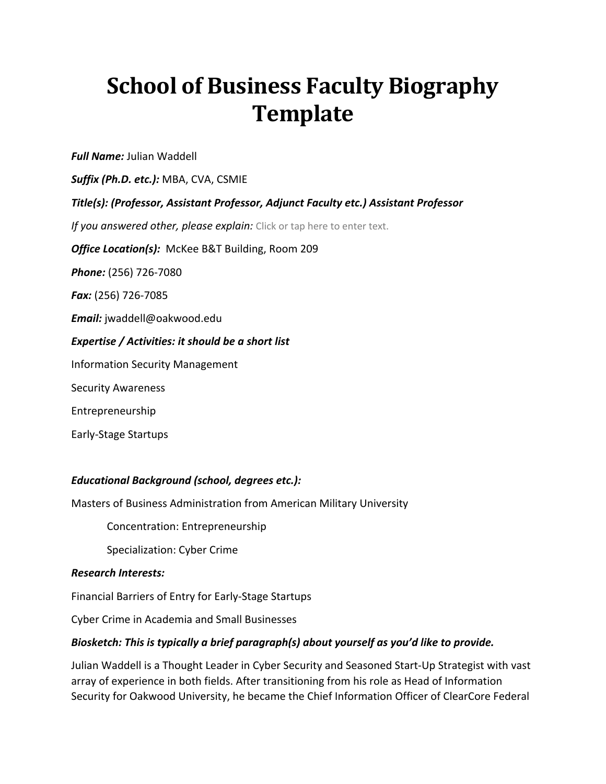## **School of Business Faculty Biography Template**

*Full Name:* Julian Waddell

*Suffix (Ph.D. etc.):* MBA, CVA, CSMIE

*Title(s): (Professor, Assistant Professor, Adjunct Faculty etc.) Assistant Professor* 

If you answered other, please explain: Click or tap here to enter text.

*Office Location(s):* McKee B&T Building, Room 209

*Phone:* (256) 726-7080

*Fax:* (256) 726-7085

*Email:* jwaddell@oakwood.edu

*Expertise / Activities: it should be a short list* 

Information Security Management

Security Awareness

Entrepreneurship

Early-Stage Startups

## *Educational Background (school, degrees etc.):*

Masters of Business Administration from American Military University

Concentration: Entrepreneurship

Specialization: Cyber Crime

## *Research Interests:*

Financial Barriers of Entry for Early-Stage Startups

Cyber Crime in Academia and Small Businesses

## *Biosketch: This is typically a brief paragraph(s) about yourself as you'd like to provide.*

Julian Waddell is a Thought Leader in Cyber Security and Seasoned Start-Up Strategist with vast array of experience in both fields. After transitioning from his role as Head of Information Security for Oakwood University, he became the Chief Information Officer of ClearCore Federal